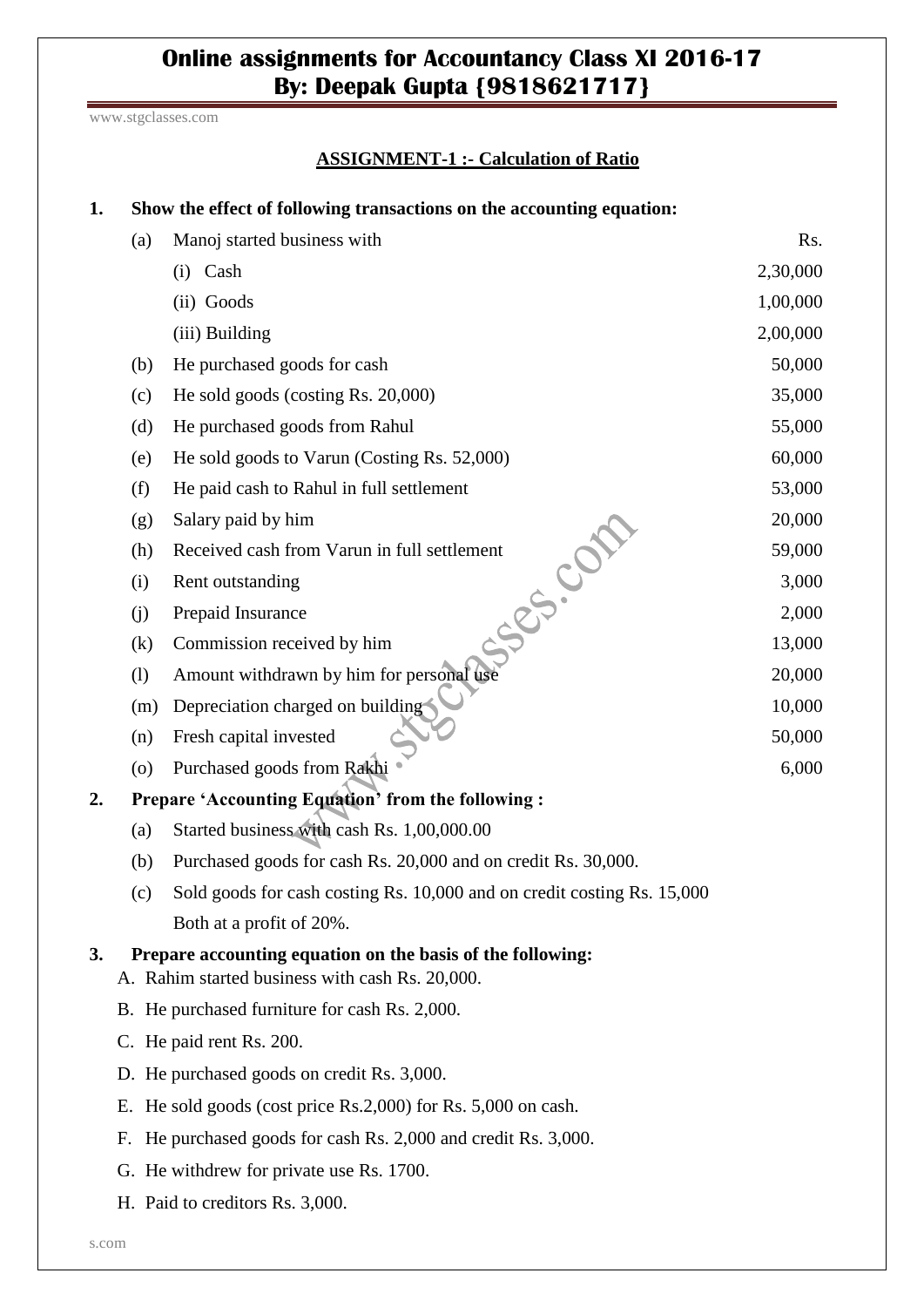# **Online assignments for Accountancy Class XI 2016-17 By: Deepak Gupta {9818621717}**

www.stgclasses.com

### **ASSIGNMENT-1 :- Calculation of Ratio**

| 1.                                       | Show the effect of following transactions on the accounting equation:                                         |                                                                         |          |  |  |
|------------------------------------------|---------------------------------------------------------------------------------------------------------------|-------------------------------------------------------------------------|----------|--|--|
|                                          | (a)                                                                                                           | Manoj started business with                                             | Rs.      |  |  |
|                                          |                                                                                                               | (i) Cash                                                                | 2,30,000 |  |  |
|                                          |                                                                                                               | (ii) Goods                                                              | 1,00,000 |  |  |
|                                          |                                                                                                               | (iii) Building                                                          | 2,00,000 |  |  |
|                                          | (b)                                                                                                           | He purchased goods for cash                                             | 50,000   |  |  |
|                                          | (c)                                                                                                           | He sold goods (costing Rs. 20,000)                                      | 35,000   |  |  |
|                                          | (d)                                                                                                           | He purchased goods from Rahul                                           | 55,000   |  |  |
|                                          | (e)                                                                                                           | He sold goods to Varun (Costing Rs. 52,000)                             | 60,000   |  |  |
|                                          | (f)                                                                                                           | He paid cash to Rahul in full settlement                                | 53,000   |  |  |
|                                          | (g)                                                                                                           | Salary paid by him                                                      | 20,000   |  |  |
|                                          | (h)                                                                                                           | Received cash from Varun in full settlement                             | 59,000   |  |  |
|                                          | (i)                                                                                                           | Ses. Cot<br>Rent outstanding                                            | 3,000    |  |  |
|                                          | (j)                                                                                                           | Prepaid Insurance                                                       | 2,000    |  |  |
|                                          | (k)                                                                                                           | Commission received by him                                              | 13,000   |  |  |
|                                          | (1)                                                                                                           | Amount withdrawn by him for personal use                                | 20,000   |  |  |
|                                          | (m)                                                                                                           | Depreciation charged on building                                        | 10,000   |  |  |
|                                          | (n)                                                                                                           | Fresh capital invested                                                  | 50,000   |  |  |
|                                          | $\left( 0 \right)$                                                                                            | Purchased goods from Rakhi                                              | 6,000    |  |  |
| 2.                                       | Prepare 'Accounting Equation' from the following :                                                            |                                                                         |          |  |  |
|                                          | (a)                                                                                                           | Started business with cash Rs. 1,00,000.00                              |          |  |  |
|                                          | (b)                                                                                                           | Purchased goods for cash Rs. 20,000 and on credit Rs. 30,000.           |          |  |  |
|                                          | (c)                                                                                                           | Sold goods for cash costing Rs. 10,000 and on credit costing Rs. 15,000 |          |  |  |
|                                          |                                                                                                               | Both at a profit of 20%.                                                |          |  |  |
| 3.                                       | Prepare accounting equation on the basis of the following:<br>A. Rahim started business with cash Rs. 20,000. |                                                                         |          |  |  |
|                                          | B. He purchased furniture for cash Rs. 2,000.                                                                 |                                                                         |          |  |  |
|                                          | C. He paid rent Rs. 200.<br>D. He purchased goods on credit Rs. 3,000.                                        |                                                                         |          |  |  |
|                                          |                                                                                                               |                                                                         |          |  |  |
|                                          | E. He sold goods (cost price Rs.2,000) for Rs. 5,000 on cash.                                                 |                                                                         |          |  |  |
|                                          | F.                                                                                                            | He purchased goods for cash Rs. 2,000 and credit Rs. 3,000.             |          |  |  |
| G. He withdrew for private use Rs. 1700. |                                                                                                               |                                                                         |          |  |  |
| H. Paid to creditors Rs. 3,000.          |                                                                                                               |                                                                         |          |  |  |
|                                          |                                                                                                               |                                                                         |          |  |  |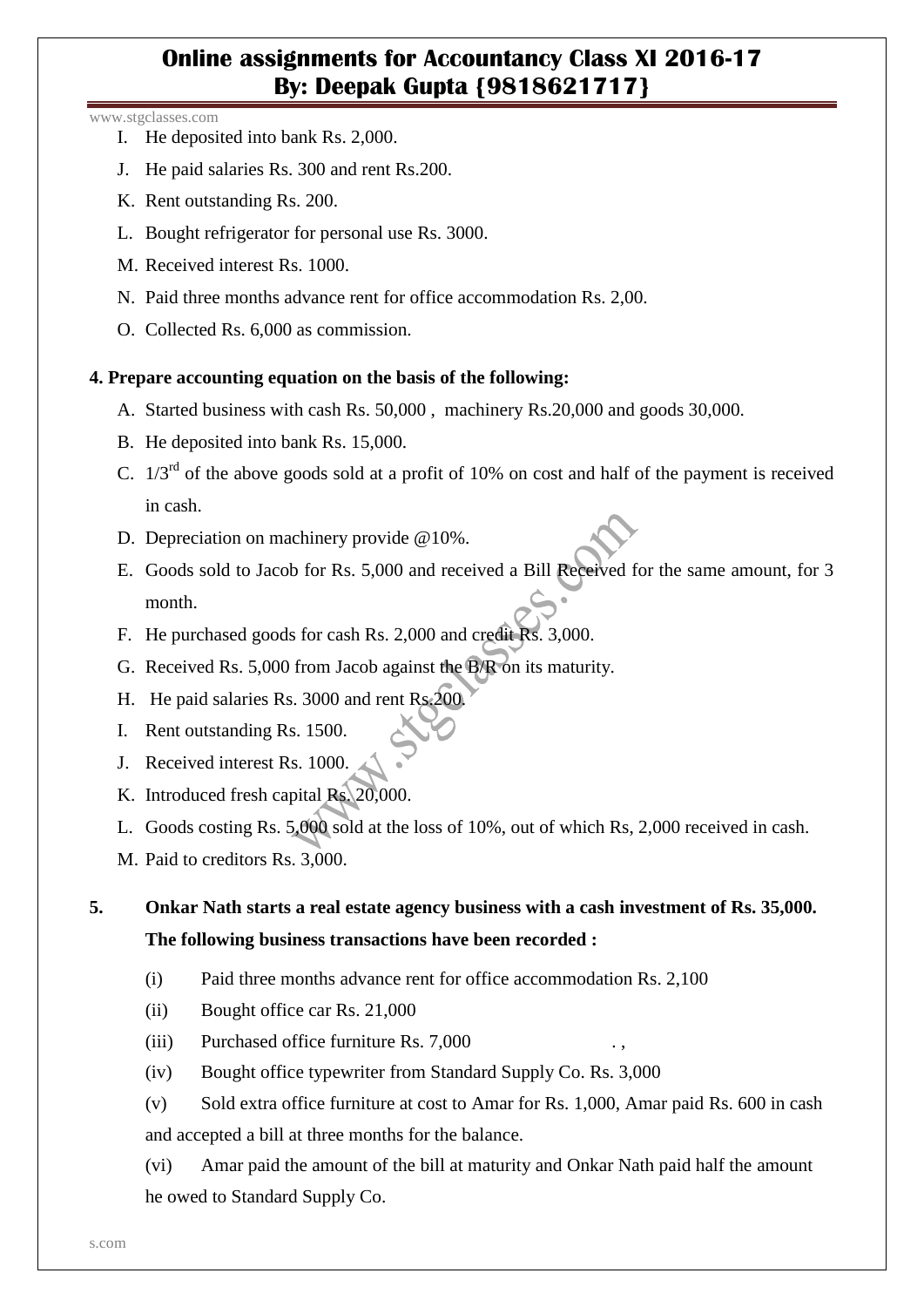## **Online assignments for Accountancy Class XI 2016-17 By: Deepak Gupta {9818621717}**

#### www.stgclasses.com

- I. He deposited into bank Rs. 2,000.
- J. He paid salaries Rs. 300 and rent Rs.200.
- K. Rent outstanding Rs. 200.
- L. Bought refrigerator for personal use Rs. 3000.
- M. Received interest Rs. 1000.
- N. Paid three months advance rent for office accommodation Rs. 2,00.
- O. Collected Rs. 6,000 as commission.

### **4. Prepare accounting equation on the basis of the following:**

- A. Started business with cash Rs. 50,000 , machinery Rs.20,000 and goods 30,000.
- B. He deposited into bank Rs. 15,000.
- C.  $1/3^{rd}$  of the above goods sold at a profit of 10% on cost and half of the payment is received in cash.
- D. Depreciation on machinery provide @10%.
- E. Goods sold to Jacob for Rs. 5,000 and received a Bill Received for the same amount, for 3 month.
- F. He purchased goods for cash Rs. 2,000 and credit Rs. 3,000.
- G. Received Rs. 5,000 from Jacob against the B/R on its maturity.
- H. He paid salaries Rs. 3000 and rent Rs.200.
- I. Rent outstanding Rs. 1500.
- J. Received interest Rs. 1000.
- K. Introduced fresh capital Rs. 20,000.
- L. Goods costing Rs. 5,000 sold at the loss of 10%, out of which Rs, 2,000 received in cash.
- M. Paid to creditors Rs. 3,000.

## **5. Onkar Nath starts a real estate agency business with a cash investment of Rs. 35,000. The following business transactions have been recorded :**

- (i) Paid three months advance rent for office accommodation Rs. 2,100
- (ii) Bought office car Rs. 21,000
- $(iii)$  Purchased office furniture Rs. 7,000
- (iv) Bought office typewriter from Standard Supply Co. Rs. 3,000
- (v) Sold extra office furniture at cost to Amar for Rs. 1,000, Amar paid Rs. 600 in cash and accepted a bill at three months for the balance.
- (vi) Amar paid the amount of the bill at maturity and Onkar Nath paid half the amount he owed to Standard Supply Co.